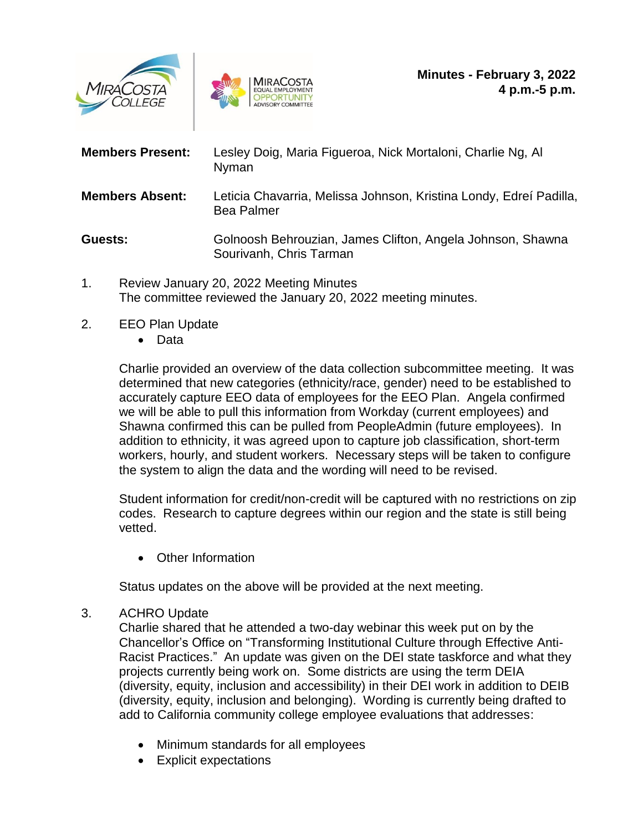



| <b>Members Present:</b> | Lesley Doig, Maria Figueroa, Nick Mortaloni, Charlie Ng, Al<br>Nyman                    |
|-------------------------|-----------------------------------------------------------------------------------------|
| <b>Members Absent:</b>  | Leticia Chavarria, Melissa Johnson, Kristina Londy, Edreí Padilla,<br><b>Bea Palmer</b> |
| Guests:                 | Golnoosh Behrouzian, James Clifton, Angela Johnson, Shawna<br>Sourivanh, Chris Tarman   |

- 1. Review January 20, 2022 Meeting Minutes The committee reviewed the January 20, 2022 meeting minutes.
- 2. EEO Plan Update
	- Data

Charlie provided an overview of the data collection subcommittee meeting. It was determined that new categories (ethnicity/race, gender) need to be established to accurately capture EEO data of employees for the EEO Plan. Angela confirmed we will be able to pull this information from Workday (current employees) and Shawna confirmed this can be pulled from PeopleAdmin (future employees). In addition to ethnicity, it was agreed upon to capture job classification, short-term workers, hourly, and student workers. Necessary steps will be taken to configure the system to align the data and the wording will need to be revised.

Student information for credit/non-credit will be captured with no restrictions on zip codes. Research to capture degrees within our region and the state is still being vetted.

• Other Information

Status updates on the above will be provided at the next meeting.

## 3. ACHRO Update

Charlie shared that he attended a two-day webinar this week put on by the Chancellor's Office on "Transforming Institutional Culture through Effective Anti-Racist Practices." An update was given on the DEI state taskforce and what they projects currently being work on. Some districts are using the term DEIA (diversity, equity, inclusion and accessibility) in their DEI work in addition to DEIB (diversity, equity, inclusion and belonging). Wording is currently being drafted to add to California community college employee evaluations that addresses:

- Minimum standards for all employees
- Explicit expectations